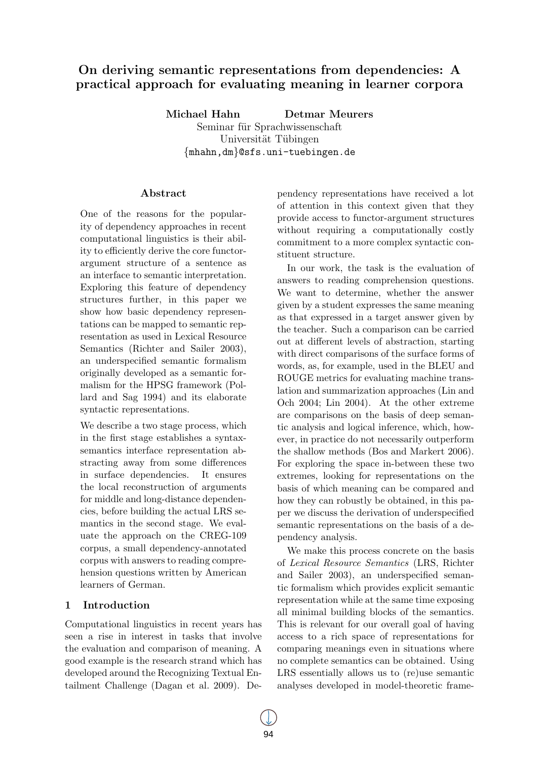# On deriving semantic representations from dependencies: A practical approach for evaluating meaning in learner corpora

Michael Hahn Detmar Meurers

Seminar für Sprachwissenschaft Universität Tübingen {mhahn,dm}@sfs.uni-tuebingen.de

### Abstract

One of the reasons for the popularity of dependency approaches in recent computational linguistics is their ability to efficiently derive the core functorargument structure of a sentence as an interface to semantic interpretation. Exploring this feature of dependency structures further, in this paper we show how basic dependency representations can be mapped to semantic representation as used in Lexical Resource Semantics (Richter and Sailer 2003), an underspecified semantic formalism originally developed as a semantic formalism for the HPSG framework (Pollard and Sag 1994) and its elaborate syntactic representations.

We describe a two stage process, which in the first stage establishes a syntaxsemantics interface representation abstracting away from some differences in surface dependencies. It ensures the local reconstruction of arguments for middle and long-distance dependencies, before building the actual LRS semantics in the second stage. We evaluate the approach on the CREG-109 corpus, a small dependency-annotated corpus with answers to reading comprehension questions written by American learners of German.

### 1 Introduction

Computational linguistics in recent years has seen a rise in interest in tasks that involve the evaluation and comparison of meaning. A good example is the research strand which has developed around the Recognizing Textual Entailment Challenge (Dagan et al. 2009). Dependency representations have received a lot of attention in this context given that they provide access to functor-argument structures without requiring a computationally costly commitment to a more complex syntactic constituent structure.

In our work, the task is the evaluation of answers to reading comprehension questions. We want to determine, whether the answer given by a student expresses the same meaning as that expressed in a target answer given by the teacher. Such a comparison can be carried out at different levels of abstraction, starting with direct comparisons of the surface forms of words, as, for example, used in the BLEU and ROUGE metrics for evaluating machine translation and summarization approaches (Lin and Och 2004; Lin 2004). At the other extreme are comparisons on the basis of deep semantic analysis and logical inference, which, however, in practice do not necessarily outperform the shallow methods (Bos and Markert 2006). For exploring the space in-between these two extremes, looking for representations on the basis of which meaning can be compared and how they can robustly be obtained, in this paper we discuss the derivation of underspecified semantic representations on the basis of a dependency analysis.

We make this process concrete on the basis of Lexical Resource Semantics (LRS, Richter and Sailer 2003), an underspecified semantic formalism which provides explicit semantic representation while at the same time exposing all minimal building blocks of the semantics. This is relevant for our overall goal of having access to a rich space of representations for comparing meanings even in situations where no complete semantics can be obtained. Using LRS essentially allows us to (re)use semantic analyses developed in model-theoretic frame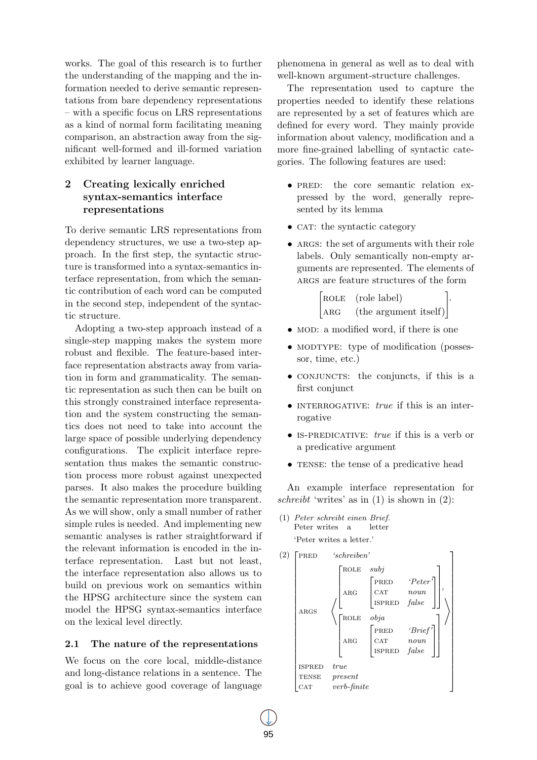works. The goal of this research is to further the understanding of the mapping and the information needed to derive semantic representations from bare dependency representations – with a specific focus on LRS representations as a kind of normal form facilitating meaning comparison, an abstraction away from the significant well-formed and ill-formed variation exhibited by learner language.

## 2 Creating lexically enriched syntax-semantics interface representations

To derive semantic LRS representations from dependency structures, we use a two-step approach. In the first step, the syntactic structure is transformed into a syntax-semantics interface representation, from which the semantic contribution of each word can be computed in the second step, independent of the syntactic structure.

Adopting a two-step approach instead of a single-step mapping makes the system more robust and flexible. The feature-based interface representation abstracts away from variation in form and grammaticality. The semantic representation as such then can be built on this strongly constrained interface representation and the system constructing the semantics does not need to take into account the large space of possible underlying dependency configurations. The explicit interface representation thus makes the semantic construction process more robust against unexpected parses. It also makes the procedure building the semantic representation more transparent. As we will show, only a small number of rather simple rules is needed. And implementing new semantic analyses is rather straightforward if the relevant information is encoded in the interface representation. Last but not least, the interface representation also allows us to build on previous work on semantics within the HPSG architecture since the system can model the HPSG syntax-semantics interface on the lexical level directly.

### 2.1 The nature of the representations

We focus on the core local, middle-distance and long-distance relations in a sentence. The goal is to achieve good coverage of language

phenomena in general as well as to deal with well-known argument-structure challenges.

The representation used to capture the properties needed to identify these relations are represented by a set of features which are defined for every word. They mainly provide information about valency, modification and a more fine-grained labelling of syntactic categories. The following features are used:

- PRED: the core semantic relation expressed by the word, generally represented by its lemma
- CAT: the syntactic category
- ARGS: the set of arguments with their role labels. Only semantically non-empty arguments are represented. The elements of args are feature structures of the form

 $\begin{bmatrix} \text{ROLE} & \text{(role label)} \\ \text{ARG} & \text{(the argument itself)} \end{bmatrix}$ .

- MOD: a modified word, if there is one
- MODTYPE: type of modification (possessor, time, etc.)
- conjuncts: the conjuncts, if this is a first conjunct
- INTERROGATIVE:  $true$  if this is an interrogative
- IS-PREDICATIVE:  $true$  if this is a verb or a predicative argument
- TENSE: the tense of a predicative head

An example interface representation for schreibt 'writes' as in  $(1)$  is shown in  $(2)$ :

(1) Peter schreibt einen Brief. Peter writes a letter 'Peter writes a letter.'

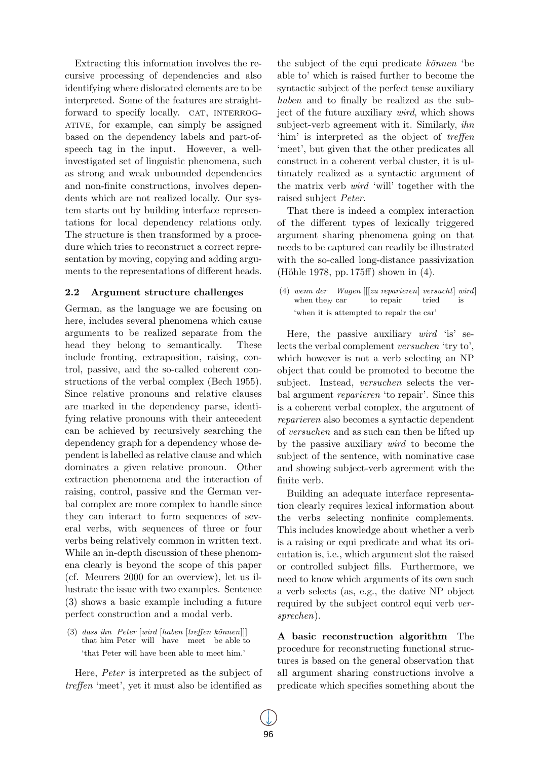Extracting this information involves the recursive processing of dependencies and also identifying where dislocated elements are to be interpreted. Some of the features are straightforward to specify locally. CAT, INTERROGative, for example, can simply be assigned based on the dependency labels and part-ofspeech tag in the input. However, a wellinvestigated set of linguistic phenomena, such as strong and weak unbounded dependencies and non-finite constructions, involves dependents which are not realized locally. Our system starts out by building interface representations for local dependency relations only. The structure is then transformed by a procedure which tries to reconstruct a correct representation by moving, copying and adding arguments to the representations of different heads.

### 2.2 Argument structure challenges

German, as the language we are focusing on here, includes several phenomena which cause arguments to be realized separate from the head they belong to semantically. These include fronting, extraposition, raising, control, passive, and the so-called coherent constructions of the verbal complex (Bech 1955). Since relative pronouns and relative clauses are marked in the dependency parse, identifying relative pronouns with their antecedent can be achieved by recursively searching the dependency graph for a dependency whose dependent is labelled as relative clause and which dominates a given relative pronoun. Other extraction phenomena and the interaction of raising, control, passive and the German verbal complex are more complex to handle since they can interact to form sequences of several verbs, with sequences of three or four verbs being relatively common in written text. While an in-depth discussion of these phenomena clearly is beyond the scope of this paper (cf. Meurers 2000 for an overview), let us illustrate the issue with two examples. Sentence (3) shows a basic example including a future perfect construction and a modal verb.

 $(3)$  dass ihn Peter  $[wind | haben | treffen können]]$ that him Peter will have meet be able to 'that Peter will have been able to meet him.'

Here, Peter is interpreted as the subject of treffen 'meet', yet it must also be identified as

the subject of the equi predicate  $k\ddot{\text{o}}$  near 'be able to' which is raised further to become the syntactic subject of the perfect tense auxiliary haben and to finally be realized as the subject of the future auxiliary wird, which shows subject-verb agreement with it. Similarly, ihn 'him' is interpreted as the object of treffen 'meet', but given that the other predicates all construct in a coherent verbal cluster, it is ultimately realized as a syntactic argument of the matrix verb wird 'will' together with the raised subject Peter.

That there is indeed a complex interaction of the different types of lexically triggered argument sharing phenomena going on that needs to be captured can readily be illustrated with the so-called long-distance passivization (Höhle 1978, pp. 175ff) shown in  $(4)$ .

(4) wenn der Wagen [[[zu reparieren] versucht] wird] when the<sub>N</sub> car to repair tried is 'when it is attempted to repair the car'

Here, the passive auxiliary wird 'is' selects the verbal complement versuchen 'try to', which however is not a verb selecting an NP object that could be promoted to become the subject. Instead, *versuchen* selects the verbal argument reparieren 'to repair'. Since this is a coherent verbal complex, the argument of reparieren also becomes a syntactic dependent of versuchen and as such can then be lifted up by the passive auxiliary wird to become the subject of the sentence, with nominative case and showing subject-verb agreement with the finite verb.

Building an adequate interface representation clearly requires lexical information about the verbs selecting nonfinite complements. This includes knowledge about whether a verb is a raising or equi predicate and what its orientation is, i.e., which argument slot the raised or controlled subject fills. Furthermore, we need to know which arguments of its own such a verb selects (as, e.g., the dative NP object required by the subject control equi verb versprechen).

A basic reconstruction algorithm The procedure for reconstructing functional structures is based on the general observation that all argument sharing constructions involve a predicate which specifies something about the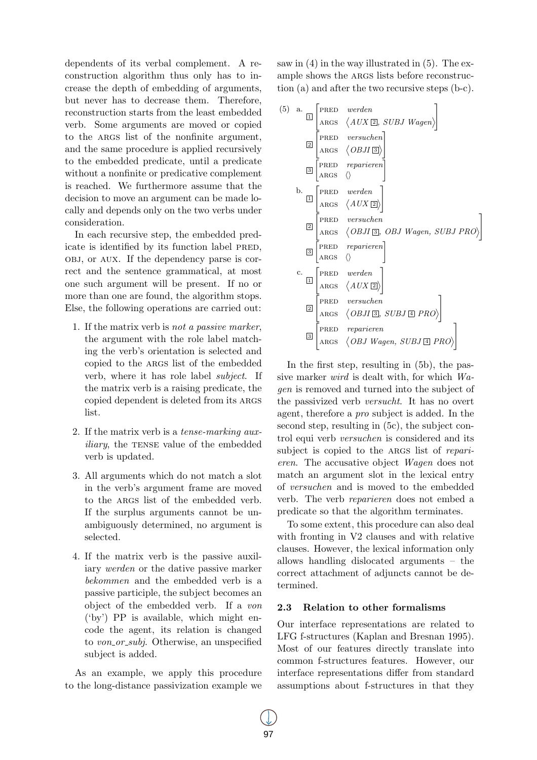dependents of its verbal complement. A reconstruction algorithm thus only has to increase the depth of embedding of arguments, but never has to decrease them. Therefore, reconstruction starts from the least embedded verb. Some arguments are moved or copied to the ARGS list of the nonfinite argument, and the same procedure is applied recursively to the embedded predicate, until a predicate without a nonfinite or predicative complement is reached. We furthermore assume that the decision to move an argument can be made locally and depends only on the two verbs under consideration.

In each recursive step, the embedded predicate is identified by its function label PRED, obj, or aux. If the dependency parse is correct and the sentence grammatical, at most one such argument will be present. If no or more than one are found, the algorithm stops. Else, the following operations are carried out:

- 1. If the matrix verb is not a passive marker, the argument with the role label matching the verb's orientation is selected and copied to the args list of the embedded verb, where it has role label subject. If the matrix verb is a raising predicate, the copied dependent is deleted from its args list.
- 2. If the matrix verb is a tense-marking aux*iliary*, the TENSE value of the embedded verb is updated.
- 3. All arguments which do not match a slot in the verb's argument frame are moved to the ARGS list of the embedded verb. If the surplus arguments cannot be unambiguously determined, no argument is selected.
- 4. If the matrix verb is the passive auxiliary werden or the dative passive marker bekommen and the embedded verb is a passive participle, the subject becomes an object of the embedded verb. If a von ('by') PP is available, which might encode the agent, its relation is changed to von\_or\_subj. Otherwise, an unspecified subject is added.

As an example, we apply this procedure to the long-distance passivization example we saw in  $(4)$  in the way illustrated in  $(5)$ . The example shows the args lists before reconstruction (a) and after the two recursive steps (b-c).



In the first step, resulting in (5b), the passive marker wird is dealt with, for which Wagen is removed and turned into the subject of the passivized verb versucht. It has no overt agent, therefore a pro subject is added. In the second step, resulting in (5c), the subject control equi verb versuchen is considered and its subject is copied to the ARGS list of reparieren. The accusative object Wagen does not match an argument slot in the lexical entry of versuchen and is moved to the embedded verb. The verb reparieren does not embed a predicate so that the algorithm terminates.

To some extent, this procedure can also deal with fronting in V2 clauses and with relative clauses. However, the lexical information only allows handling dislocated arguments – the correct attachment of adjuncts cannot be determined.

### 2.3 Relation to other formalisms

Our interface representations are related to LFG f-structures (Kaplan and Bresnan 1995). Most of our features directly translate into common f-structures features. However, our interface representations differ from standard assumptions about f-structures in that they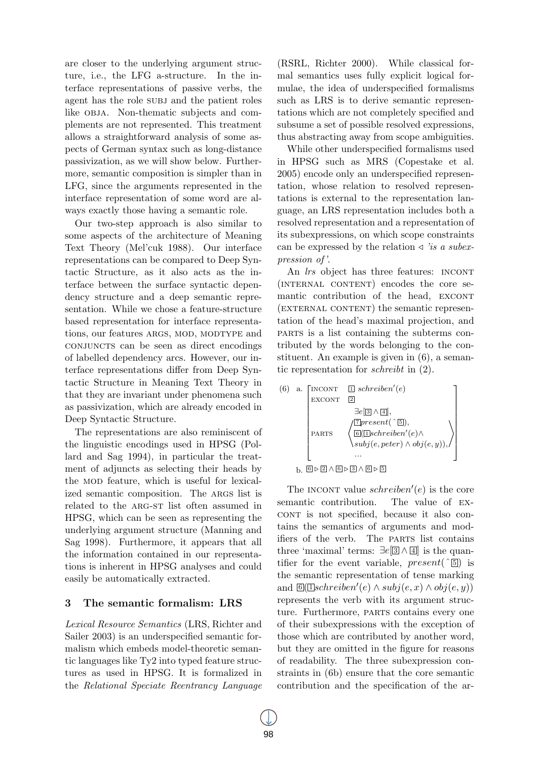are closer to the underlying argument structure, i.e., the LFG a-structure. In the interface representations of passive verbs, the agent has the role subj and the patient roles like OBJA. Non-thematic subjects and complements are not represented. This treatment allows a straightforward analysis of some aspects of German syntax such as long-distance passivization, as we will show below. Furthermore, semantic composition is simpler than in LFG, since the arguments represented in the interface representation of some word are always exactly those having a semantic role.

Our two-step approach is also similar to some aspects of the architecture of Meaning Text Theory (Mel'cuk 1988). Our interface representations can be compared to Deep Syntactic Structure, as it also acts as the interface between the surface syntactic dependency structure and a deep semantic representation. While we chose a feature-structure based representation for interface representations, our features ARGS, MOD, MODTYPE and conjuncts can be seen as direct encodings of labelled dependency arcs. However, our interface representations differ from Deep Syntactic Structure in Meaning Text Theory in that they are invariant under phenomena such as passivization, which are already encoded in Deep Syntactic Structure.

The representations are also reminiscent of the linguistic encodings used in HPSG (Pollard and Sag 1994), in particular the treatment of adjuncts as selecting their heads by the mod feature, which is useful for lexicalized semantic composition. The args list is related to the arg-st list often assumed in HPSG, which can be seen as representing the underlying argument structure (Manning and Sag 1998). Furthermore, it appears that all the information contained in our representations is inherent in HPSG analyses and could easily be automatically extracted.

### 3 The semantic formalism: LRS

Lexical Resource Semantics (LRS, Richter and Sailer 2003) is an underspecified semantic formalism which embeds model-theoretic semantic languages like Ty2 into typed feature structures as used in HPSG. It is formalized in the Relational Speciate Reentrancy Language (RSRL, Richter 2000). While classical formal semantics uses fully explicit logical formulae, the idea of underspecified formalisms such as LRS is to derive semantic representations which are not completely specified and subsume a set of possible resolved expressions, thus abstracting away from scope ambiguities.

While other underspecified formalisms used in HPSG such as MRS (Copestake et al. 2005) encode only an underspecified representation, whose relation to resolved representations is external to the representation language, an LRS representation includes both a resolved representation and a representation of its subexpressions, on which scope constraints can be expressed by the relation  $\triangleleft$  'is a subexpression of '.

An *lrs* object has three features: INCONT (internal content) encodes the core semantic contribution of the head, EXCONT (EXTERNAL CONTENT) the semantic representation of the head's maximal projection, and parts is a list containing the subterms contributed by the words belonging to the constituent. An example is given in (6), a semantic representation for schreibt in (2).



The INCONT value  $schreiben'(e)$  is the core semantic contribution. The value of excont is not specified, because it also contains the semantics of arguments and modifiers of the verb. The parts list contains three 'maximal' terms:  $\exists e[\Box] \wedge \Box]$  is the quantifier for the event variable,  $present(^{\sim}5)$  is the semantic representation of tense marking and  $\mathbb{E}(\mathbb{I}|\mathit{schreiben}'(e) \wedge \mathit{subj}(e,x) \wedge \mathit{obj}(e,y))$ represents the verb with its argument structure. Furthermore, PARTS contains every one of their subexpressions with the exception of those which are contributed by another word, but they are omitted in the figure for reasons of readability. The three subexpression constraints in (6b) ensure that the core semantic contribution and the specification of the ar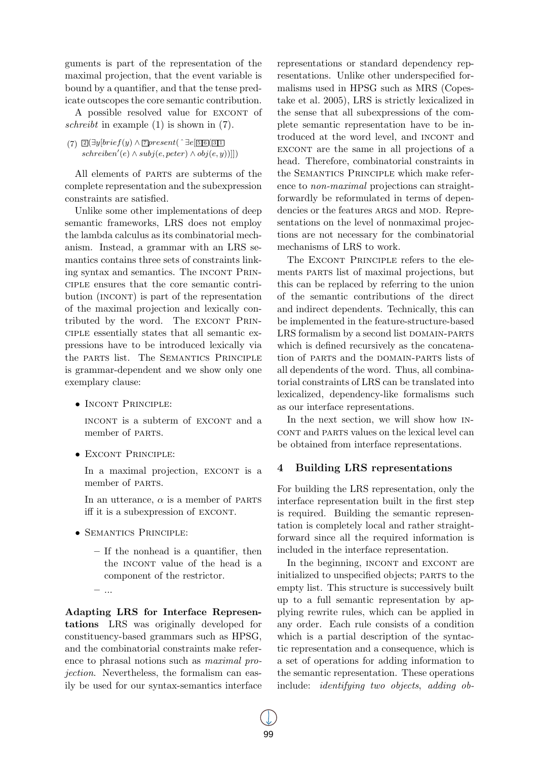guments is part of the representation of the maximal projection, that the event variable is bound by a quantifier, and that the tense predicate outscopes the core semantic contribution.

A possible resolved value for EXCONT of schreibt in example  $(1)$  is shown in  $(7)$ .

(7)  $\boxed{2}$   $\boxed{3y}$  *brief*(y)  $\land$   $\boxed{7}$  *present* (^  $\boxed{3e}$   $\boxed{516}$   $\boxed{311}$  $schreiben'(e) \wedge subj(e, peter) \wedge obj(e, y))]$ 

All elements of parts are subterms of the complete representation and the subexpression constraints are satisfied.

Unlike some other implementations of deep semantic frameworks, LRS does not employ the lambda calculus as its combinatorial mechanism. Instead, a grammar with an LRS semantics contains three sets of constraints linking syntax and semantics. The INCONT PRINciple ensures that the core semantic contribution (INCONT) is part of the representation of the maximal projection and lexically contributed by the word. The EXCONT PRINciple essentially states that all semantic expressions have to be introduced lexically via the parts list. The Semantics Principle is grammar-dependent and we show only one exemplary clause:

• Incont Principle:

incont is a subterm of excont and a member of PARTS.

• EXCONT PRINCIPLE:

In a maximal projection, EXCONT is a member of PARTS.

In an utterance,  $\alpha$  is a member of PARTS iff it is a subexpression of EXCONT.

• Semantics Principle:

– ...

– If the nonhead is a quantifier, then the INCONT value of the head is a component of the restrictor.

Adapting LRS for Interface Representations LRS was originally developed for constituency-based grammars such as HPSG, and the combinatorial constraints make reference to phrasal notions such as maximal projection. Nevertheless, the formalism can easily be used for our syntax-semantics interface

representations or standard dependency representations. Unlike other underspecified formalisms used in HPSG such as MRS (Copestake et al. 2005), LRS is strictly lexicalized in the sense that all subexpressions of the complete semantic representation have to be introduced at the word level, and INCONT and excont are the same in all projections of a head. Therefore, combinatorial constraints in the Semantics Principle which make reference to non-maximal projections can straightforwardly be reformulated in terms of dependencies or the features ARGS and MOD. Representations on the level of nonmaximal projections are not necessary for the combinatorial mechanisms of LRS to work.

The EXCONT PRINCIPLE refers to the elements parts list of maximal projections, but this can be replaced by referring to the union of the semantic contributions of the direct and indirect dependents. Technically, this can be implemented in the feature-structure-based LRS formalism by a second list DOMAIN-PARTS which is defined recursively as the concatenation of PARTS and the DOMAIN-PARTS lists of all dependents of the word. Thus, all combinatorial constraints of LRS can be translated into lexicalized, dependency-like formalisms such as our interface representations.

In the next section, we will show how incont and parts values on the lexical level can be obtained from interface representations.

### 4 Building LRS representations

For building the LRS representation, only the interface representation built in the first step is required. Building the semantic representation is completely local and rather straightforward since all the required information is included in the interface representation.

In the beginning, INCONT and EXCONT are initialized to unspecified objects; parts to the empty list. This structure is successively built up to a full semantic representation by applying rewrite rules, which can be applied in any order. Each rule consists of a condition which is a partial description of the syntactic representation and a consequence, which is a set of operations for adding information to the semantic representation. These operations include: identifying two objects, adding ob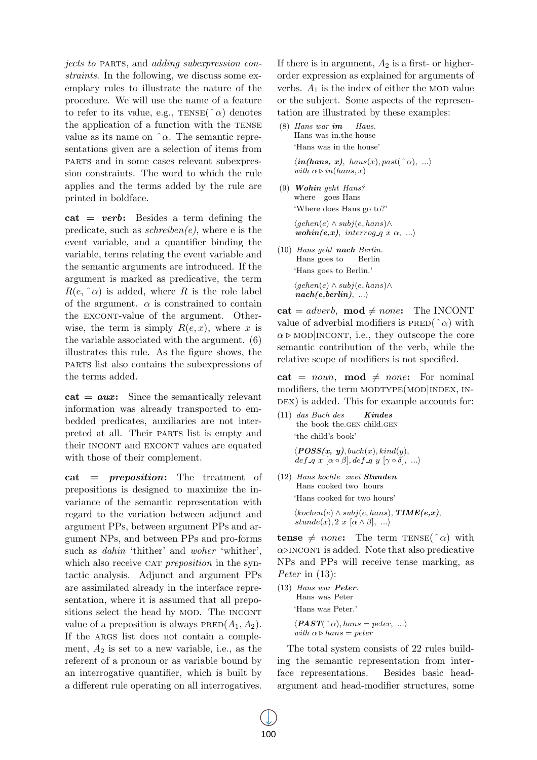jects to PARTS, and adding subexpression constraints. In the following, we discuss some exemplary rules to illustrate the nature of the procedure. We will use the name of a feature to refer to its value, e.g.,  $TENSE(\hat{\alpha})$  denotes the application of a function with the TENSE value as its name on  $\hat{\alpha}$ . The semantic representations given are a selection of items from parts and in some cases relevant subexpression constraints. The word to which the rule applies and the terms added by the rule are printed in boldface.

 $\textbf{cat} = \textbf{verb:}$  Besides a term defining the predicate, such as  $schreiben(e)$ , where e is the event variable, and a quantifier binding the variable, terms relating the event variable and the semantic arguments are introduced. If the argument is marked as predicative, the term  $R(e, \hat{\alpha})$  is added, where R is the role label of the argument.  $\alpha$  is constrained to contain the EXCONT-value of the argument. Otherwise, the term is simply  $R(e, x)$ , where x is the variable associated with the argument. (6) illustrates this rule. As the figure shows, the parts list also contains the subexpressions of the terms added.

 $\textbf{cat} = \textbf{aux:}$  Since the semantically relevant information was already transported to embedded predicates, auxiliaries are not interpreted at all. Their parts list is empty and their INCONT and EXCONT values are equated with those of their complement.

 $cat = preposition:$  The treatment of prepositions is designed to maximize the invariance of the semantic representation with regard to the variation between adjunct and argument PPs, between argument PPs and argument NPs, and between PPs and pro-forms such as dahin 'thither' and woher 'whither', which also receive CAT *preposition* in the syntactic analysis. Adjunct and argument PPs are assimilated already in the interface representation, where it is assumed that all prepositions select the head by MOD. The INCONT value of a preposition is always  $PRED(A_1, A_2)$ . If the ARGS list does not contain a complement,  $A_2$  is set to a new variable, i.e., as the referent of a pronoun or as variable bound by an interrogative quantifier, which is built by a different rule operating on all interrogatives.

If there is in argument,  $A_2$  is a first- or higherorder expression as explained for arguments of verbs.  $A_1$  is the index of either the MOD value or the subject. Some aspects of the representation are illustrated by these examples:

(8) Hans war im Hans was in.the house Haus. 'Hans was in the house'

> $\langle \textit{in}(\textit{hans}, \textit{x}), \textit{haus}(x), \textit{past}(^\wedge \alpha), \ldots \rangle$ with  $\alpha \triangleright in(hans, x)$

(9) Wohin geht Hans? where goes Hans 'Where does Hans go to?'

> $\langle gehen(e) \wedge subj(e, hans) \wedge$ wohin(e,x), interrog<sub>-q</sub> x  $\alpha$ , ...)

(10) Hans geht nach Berlin. Hans goes to Berlin 'Hans goes to Berlin.'  $\langle gehen(e) \wedge subj(e, hans) \wedge \rangle$  $nach(e,berlin), ...$ 

cat = adverb, mod  $\neq$  none: The INCONT value of adverbial modifiers is PRED( $\hat{\alpha}$ ) with  $\alpha \triangleright \text{MOD}|\text{INCONT}, \text{ i.e., they outside the core}$ semantic contribution of the verb, while the relative scope of modifiers is not specified.

cat = noun, mod  $\neq$  none: For nominal modifiers, the term MODTYPE(MOD INDEX, IN-DEX) is added. This for example accounts for:

(11) das Buch des the book the.GEN child.GEN Kindes 'the child's book'

> $\langle \textit{POSS}(x, y), \textit{buch}(x), \textit{kind}(y), \rangle$  $def_q x [\alpha \circ \beta], def_q y [\gamma \circ \delta], ...$

(12) Hans kochte zwei Stunden Hans cooked two hours 'Hans cooked for two hours'  $\langle kochen(e) \wedge subj(e, hans), \textbf{TIME}(e, x), \rangle$ 

 $stunde(x), 2 x [\alpha \wedge \beta], ...)$ tense  $\neq$  none: The term TENSE(^ $\alpha$ ) with

 $\alpha$ DINCONT is added. Note that also predicative NPs and PPs will receive tense marking, as Peter in  $(13)$ :

(13) Hans war Peter. Hans was Peter 'Hans was Peter.'  $\langle PAST(\hat{\ } \alpha), hans = peter, \ldots \rangle$ 

with  $\alpha \triangleright hans = peter$ 

The total system consists of 22 rules building the semantic representation from interface representations. Besides basic headargument and head-modifier structures, some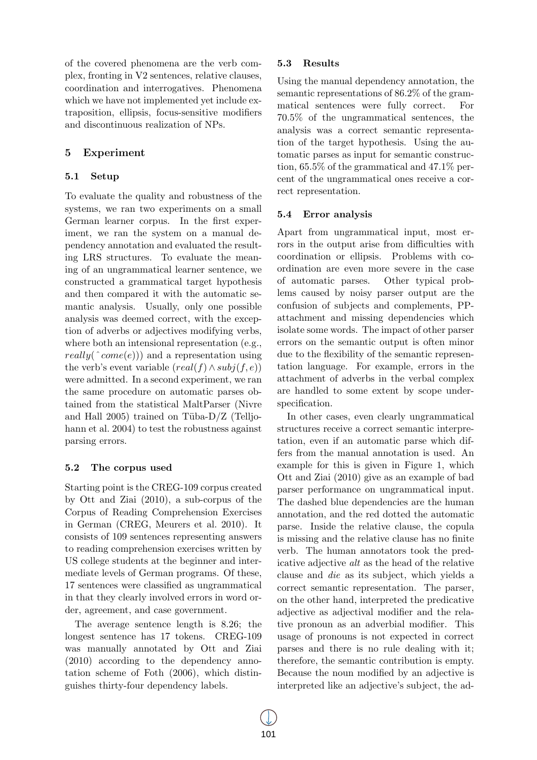of the covered phenomena are the verb complex, fronting in V2 sentences, relative clauses, coordination and interrogatives. Phenomena which we have not implemented yet include extraposition, ellipsis, focus-sensitive modifiers and discontinuous realization of NPs.

### 5 Experiment

### 5.1 Setup

To evaluate the quality and robustness of the systems, we ran two experiments on a small German learner corpus. In the first experiment, we ran the system on a manual dependency annotation and evaluated the resulting LRS structures. To evaluate the meaning of an ungrammatical learner sentence, we constructed a grammatical target hypothesis and then compared it with the automatic semantic analysis. Usually, only one possible analysis was deemed correct, with the exception of adverbs or adjectives modifying verbs, where both an intensional representation (e.g., really( $\hat{c}$ come(e))) and a representation using the verb's event variable  $(\text{real}(f) \wedge \text{sub}j(f, e))$ were admitted. In a second experiment, we ran the same procedure on automatic parses obtained from the statistical MaltParser (Nivre and Hall 2005) trained on Tüba- $D/Z$  (Telljohann et al. 2004) to test the robustness against parsing errors.

### 5.2 The corpus used

Starting point is the CREG-109 corpus created by Ott and Ziai (2010), a sub-corpus of the Corpus of Reading Comprehension Exercises in German (CREG, Meurers et al. 2010). It consists of 109 sentences representing answers to reading comprehension exercises written by US college students at the beginner and intermediate levels of German programs. Of these, 17 sentences were classified as ungrammatical in that they clearly involved errors in word order, agreement, and case government.

The average sentence length is 8.26; the longest sentence has 17 tokens. CREG-109 was manually annotated by Ott and Ziai (2010) according to the dependency annotation scheme of Foth (2006), which distinguishes thirty-four dependency labels.

### 5.3 Results

Using the manual dependency annotation, the semantic representations of 86.2% of the grammatical sentences were fully correct. For 70.5% of the ungrammatical sentences, the analysis was a correct semantic representation of the target hypothesis. Using the automatic parses as input for semantic construction, 65.5% of the grammatical and 47.1% percent of the ungrammatical ones receive a correct representation.

### 5.4 Error analysis

Apart from ungrammatical input, most errors in the output arise from difficulties with coordination or ellipsis. Problems with coordination are even more severe in the case of automatic parses. Other typical problems caused by noisy parser output are the confusion of subjects and complements, PPattachment and missing dependencies which isolate some words. The impact of other parser errors on the semantic output is often minor due to the flexibility of the semantic representation language. For example, errors in the attachment of adverbs in the verbal complex are handled to some extent by scope underspecification.

In other cases, even clearly ungrammatical structures receive a correct semantic interpretation, even if an automatic parse which differs from the manual annotation is used. An example for this is given in Figure 1, which Ott and Ziai (2010) give as an example of bad parser performance on ungrammatical input. The dashed blue dependencies are the human annotation, and the red dotted the automatic parse. Inside the relative clause, the copula is missing and the relative clause has no finite verb. The human annotators took the predicative adjective alt as the head of the relative clause and die as its subject, which yields a correct semantic representation. The parser, on the other hand, interpreted the predicative adjective as adjectival modifier and the relative pronoun as an adverbial modifier. This usage of pronouns is not expected in correct parses and there is no rule dealing with it; therefore, the semantic contribution is empty. Because the noun modified by an adjective is interpreted like an adjective's subject, the ad-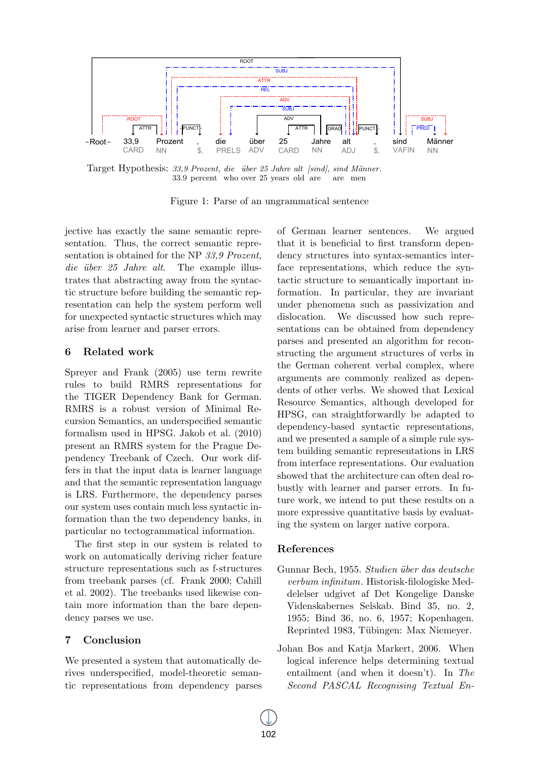

Target Hypothesis: 33,9 Prozent, die über 25 Jahre alt [sind], sind Männer. 33.9 percent who over 25 years old are are men

Figure 1: Parse of an ungrammatical sentence

jective has exactly the same semantic representation. Thus, the correct semantic representation is obtained for the NP 33,9 Prozent,  $die\; über\; 25\; Jahre\; alt.$  The example illustrates that abstracting away from the syntactic structure before building the semantic representation can help the system perform well for unexpected syntactic structures which may arise from learner and parser errors.

#### 6 Related work

Spreyer and Frank (2005) use term rewrite rules to build RMRS representations for the TIGER Dependency Bank for German. RMRS is a robust version of Minimal Recursion Semantics, an underspecified semantic formalism used in HPSG. Jakob et al. (2010) present an RMRS system for the Prague Dependency Treebank of Czech. Our work differs in that the input data is learner language and that the semantic representation language is LRS. Furthermore, the dependency parses our system uses contain much less syntactic information than the two dependency banks, in particular no tectogrammatical information.

The first step in our system is related to work on automatically deriving richer feature structure representations such as f-structures from treebank parses (cf. Frank 2000; Cahill et al. 2002). The treebanks used likewise contain more information than the bare dependency parses we use.

### 7 Conclusion

We presented a system that automatically derives underspecified, model-theoretic semantic representations from dependency parses

of German learner sentences. We argued that it is beneficial to first transform dependency structures into syntax-semantics interface representations, which reduce the syntactic structure to semantically important information. In particular, they are invariant under phenomena such as passivization and dislocation. We discussed how such representations can be obtained from dependency parses and presented an algorithm for reconstructing the argument structures of verbs in the German coherent verbal complex, where arguments are commonly realized as dependents of other verbs. We showed that Lexical Resource Semantics, although developed for HPSG, can straightforwardly be adapted to dependency-based syntactic representations, and we presented a sample of a simple rule system building semantic representations in LRS from interface representations. Our evaluation showed that the architecture can often deal robustly with learner and parser errors. In future work, we intend to put these results on a more expressive quantitative basis by evaluating the system on larger native corpora.

#### References

- Gunnar Bech, 1955. Studien über das deutsche verbum infinitum. Historisk-filologiske Meddelelser udgivet af Det Kongelige Danske Videnskabernes Selskab. Bind 35, no. 2, 1955; Bind 36, no. 6, 1957; Kopenhagen. Reprinted 1983, Tübingen: Max Niemeyer.
- Johan Bos and Katia Markert, 2006. When logical inference helps determining textual entailment (and when it doesn't). In The Second PASCAL Recognising Textual En-